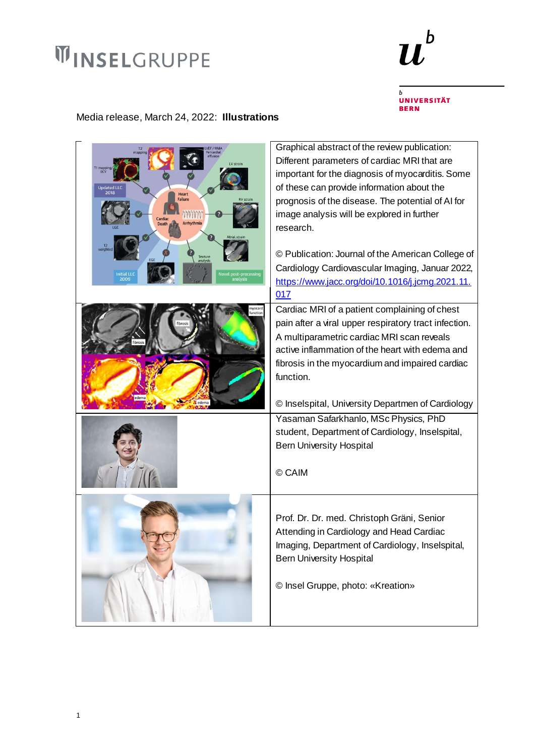## **WINSELGRUPPE**



 $\boldsymbol{b}$ UNIVERSITÄT<br>BERN

## Media release, March 24, 2022: **Illustrations**

| T1 mapping<br><b>Updated LLC</b><br>2018<br><b>Heart</b><br><b>Failure</b><br>mannan<br>Cardia<br>Arrhythmia<br><b>Death</b><br>weight<br>Texture<br>analysis<br><b>Initial LL</b><br><b>Novel post-processing</b><br>2009 | Graphical abstract of the review publication:<br>Different parameters of cardiac MRI that are<br>important for the diagnosis of myocarditis. Some<br>of these can provide information about the<br>prognosis of the disease. The potential of AI for<br>image analysis will be explored in further<br>research.<br>© Publication: Journal of the American College of<br>Cardiology Cardiovascular Imaging, Januar 2022,<br>https://www.jacc.org/doi/10.1016/j.jcmg.2021.11.<br>017 |
|----------------------------------------------------------------------------------------------------------------------------------------------------------------------------------------------------------------------------|------------------------------------------------------------------------------------------------------------------------------------------------------------------------------------------------------------------------------------------------------------------------------------------------------------------------------------------------------------------------------------------------------------------------------------------------------------------------------------|
| nyocari<br>function                                                                                                                                                                                                        | Cardiac MRI of a patient complaining of chest<br>pain after a viral upper respiratory tract infection.<br>A multiparametric cardiac MRI scan reveals<br>active inflammation of the heart with edema and<br>fibrosis in the myocardium and impaired cardiac<br>function.<br>© Inselspital, University Departmen of Cardiology                                                                                                                                                       |
|                                                                                                                                                                                                                            | Yasaman Safarkhanlo, MSc Physics, PhD<br>student, Department of Cardiology, Inselspital,<br><b>Bern University Hospital</b><br>© CAIM                                                                                                                                                                                                                                                                                                                                              |
|                                                                                                                                                                                                                            | Prof. Dr. Dr. med. Christoph Gräni, Senior<br>Attending in Cardiology and Head Cardiac<br>Imaging, Department of Cardiology, Inselspital,<br><b>Bern University Hospital</b><br>© Insel Gruppe, photo: «Kreation»                                                                                                                                                                                                                                                                  |